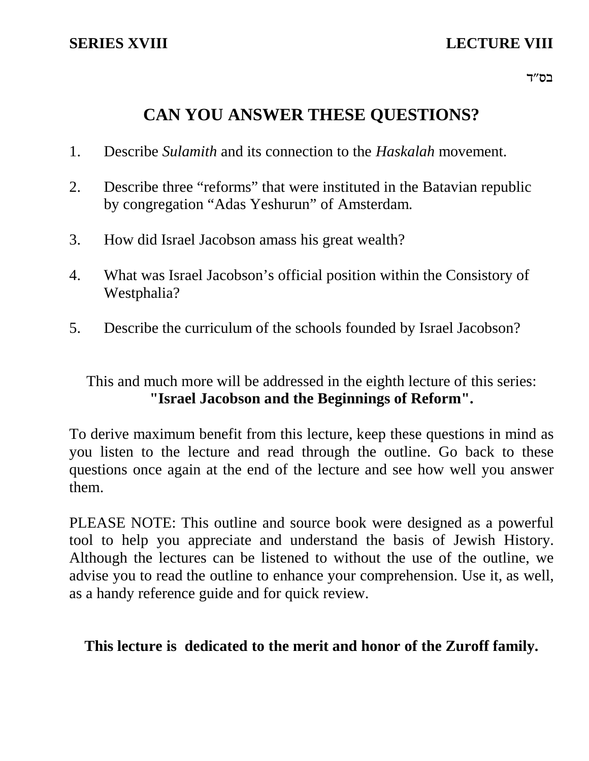## **SERIES XVIII LECTURE VIII**

# **CAN YOU ANSWER THESE QUESTIONS?**

- 1. Describe *Sulamith* and its connection to the *Haskalah* movement.
- 2. Describe three "reforms" that were instituted in the Batavian republic by congregation "Adas Yeshurun" of Amsterdam.
- 3. How did Israel Jacobson amass his great wealth?
- 4. What was Israel Jacobson's official position within the Consistory of Westphalia?
- 5. Describe the curriculum of the schools founded by Israel Jacobson?

This and much more will be addressed in the eighth lecture of this series: **"Israel Jacobson and the Beginnings of Reform".**

To derive maximum benefit from this lecture, keep these questions in mind as you listen to the lecture and read through the outline. Go back to these questions once again at the end of the lecture and see how well you answer them.

PLEASE NOTE: This outline and source book were designed as a powerful tool to help you appreciate and understand the basis of Jewish History. Although the lectures can be listened to without the use of the outline, we advise you to read the outline to enhance your comprehension. Use it, as well, as a handy reference guide and for quick review.

**This lecture is dedicated to the merit and honor of the Zuroff family.**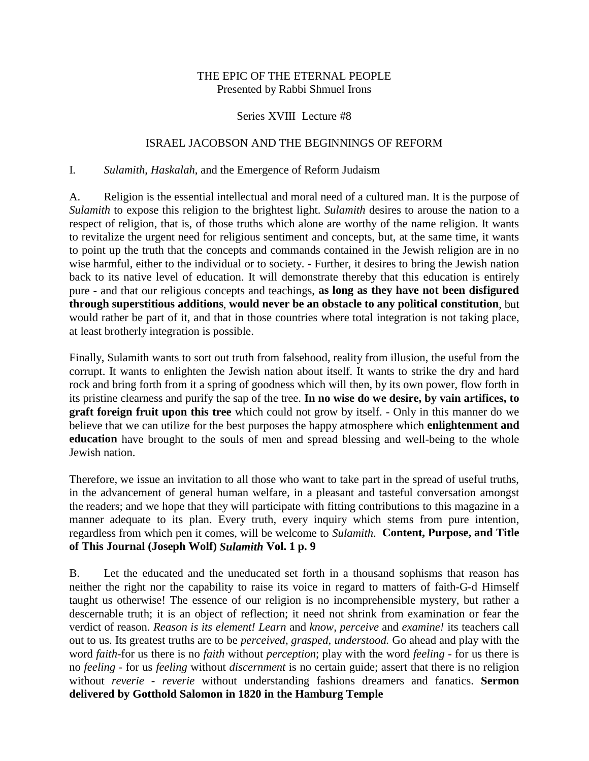#### THE EPIC OF THE ETERNAL PEOPLE Presented by Rabbi Shmuel Irons

#### Series XVIII Lecture #8

#### ISRAEL JACOBSON AND THE BEGINNINGS OF REFORM

#### I. *Sulamith*, *Haskalah*, and the Emergence of Reform Judaism

A. Religion is the essential intellectual and moral need of a cultured man. It is the purpose of *Sulamith* to expose this religion to the brightest light. *Sulamith* desires to arouse the nation to a respect of religion, that is, of those truths which alone are worthy of the name religion. It wants to revitalize the urgent need for religious sentiment and concepts, but, at the same time, it wants to point up the truth that the concepts and commands contained in the Jewish religion are in no wise harmful, either to the individual or to society. - Further, it desires to bring the Jewish nation back to its native level of education. It will demonstrate thereby that this education is entirely pure - and that our religious concepts and teachings, **as long as they have not been disfigured through superstitious additions**, **would never be an obstacle to any political constitution**, but would rather be part of it, and that in those countries where total integration is not taking place, at least brotherly integration is possible.

Finally, Sulamith wants to sort out truth from falsehood, reality from illusion, the useful from the corrupt. It wants to enlighten the Jewish nation about itself. It wants to strike the dry and hard rock and bring forth from it a spring of goodness which will then, by its own power, flow forth in its pristine clearness and purify the sap of the tree. **In no wise do we desire, by vain artifices, to graft foreign fruit upon this tree** which could not grow by itself. - Only in this manner do we believe that we can utilize for the best purposes the happy atmosphere which **enlightenment and education** have brought to the souls of men and spread blessing and well-being to the whole Jewish nation.

Therefore, we issue an invitation to all those who want to take part in the spread of useful truths, in the advancement of general human welfare, in a pleasant and tasteful conversation amongst the readers; and we hope that they will participate with fitting contributions to this magazine in a manner adequate to its plan. Every truth, every inquiry which stems from pure intention, regardless from which pen it comes, will be welcome to *Sulamith*. **Content, Purpose, and Title of This Journal (Joseph Wolf)** *Sulamith* **Vol. 1 p. 9**

B. Let the educated and the uneducated set forth in a thousand sophisms that reason has neither the right nor the capability to raise its voice in regard to matters of faith-G-d Himself taught us otherwise! The essence of our religion is no incomprehensible mystery, but rather a descernable truth; it is an object of reflection; it need not shrink from examination or fear the verdict of reason. *Reason is its element! Learn* and *know, perceive* and *examine!* its teachers call out to us. Its greatest truths are to be *perceived, grasped, understood.* Go ahead and play with the word *faith*-for us there is no *faith* without *perception*; play with the word *feeling* - for us there is no *feeling* - for us *feeling* without *discernment* is no certain guide; assert that there is no religion without *reverie* - *reverie* without understanding fashions dreamers and fanatics. **Sermon delivered by Gotthold Salomon in 1820 in the Hamburg Temple**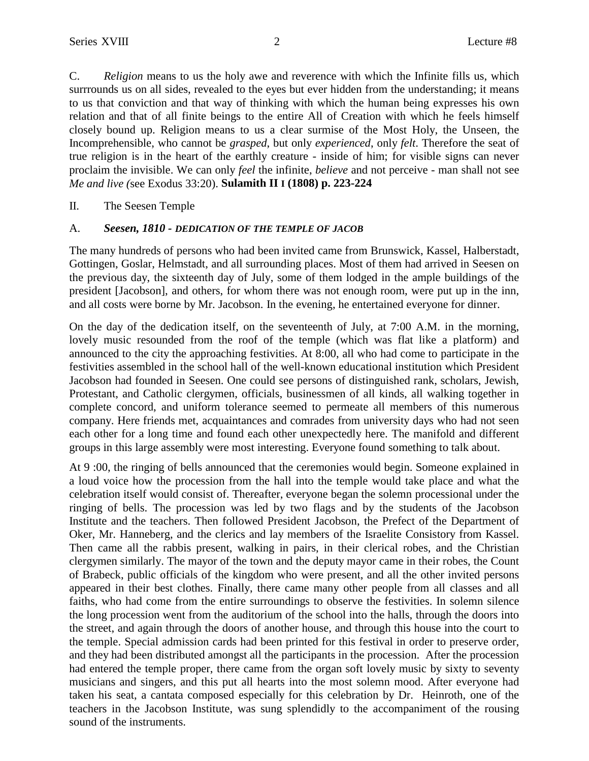C. *Religion* means to us the holy awe and reverence with which the Infinite fills us, which surrrounds us on all sides, revealed to the eyes but ever hidden from the understanding; it means to us that conviction and that way of thinking with which the human being expresses his own relation and that of all finite beings to the entire All of Creation with which he feels himself closely bound up. Religion means to us a clear surmise of the Most Holy, the Unseen, the Incomprehensible, who cannot be *grasped*, but only *experienced*, only *felt*. Therefore the seat of true religion is in the heart of the earthly creature - inside of him; for visible signs can never proclaim the invisible. We can only *feel* the infinite, *believe* and not perceive - man shall not see *Me and live (*see Exodus 33:20). **Sulamith II I (1808) p. 223-224**

#### II. The Seesen Temple

#### A. *Seesen, 1810 - DEDICATION OF THE TEMPLE OF JACOB*

The many hundreds of persons who had been invited came from Brunswick, Kassel, Halberstadt, Gottingen, Goslar, Helmstadt, and all surrounding places. Most of them had arrived in Seesen on the previous day, the sixteenth day of July, some of them lodged in the ample buildings of the president [Jacobson], and others, for whom there was not enough room, were put up in the inn, and all costs were borne by Mr. Jacobson. In the evening, he entertained everyone for dinner.

On the day of the dedication itself, on the seventeenth of July, at 7:00 A.M. in the morning, lovely music resounded from the roof of the temple (which was flat like a platform) and announced to the city the approaching festivities. At 8:00, all who had come to participate in the festivities assembled in the school hall of the well-known educational institution which President Jacobson had founded in Seesen. One could see persons of distinguished rank, scholars, Jewish, Protestant, and Catholic clergymen, officials, businessmen of all kinds, all walking together in complete concord, and uniform tolerance seemed to permeate all members of this numerous company. Here friends met, acquaintances and comrades from university days who had not seen each other for a long time and found each other unexpectedly here. The manifold and different groups in this large assembly were most interesting. Everyone found something to talk about.

At 9 :00, the ringing of bells announced that the ceremonies would begin. Someone explained in a loud voice how the procession from the hall into the temple would take place and what the celebration itself would consist of. Thereafter, everyone began the solemn processional under the ringing of bells. The procession was led by two flags and by the students of the Jacobson Institute and the teachers. Then followed President Jacobson, the Prefect of the Department of Oker, Mr. Hanneberg, and the clerics and lay members of the Israelite Consistory from Kassel. Then came all the rabbis present, walking in pairs, in their clerical robes, and the Christian clergymen similarly. The mayor of the town and the deputy mayor came in their robes, the Count of Brabeck, public officials of the kingdom who were present, and all the other invited persons appeared in their best clothes. Finally, there came many other people from all classes and all faiths, who had come from the entire surroundings to observe the festivities. In solemn silence the long procession went from the auditorium of the school into the halls, through the doors into the street, and again through the doors of another house, and through this house into the court to the temple. Special admission cards had been printed for this festival in order to preserve order, and they had been distributed amongst all the participants in the procession. After the procession had entered the temple proper, there came from the organ soft lovely music by sixty to seventy musicians and singers, and this put all hearts into the most solemn mood. After everyone had taken his seat, a cantata composed especially for this celebration by Dr. Heinroth, one of the teachers in the Jacobson Institute, was sung splendidly to the accompaniment of the rousing sound of the instruments.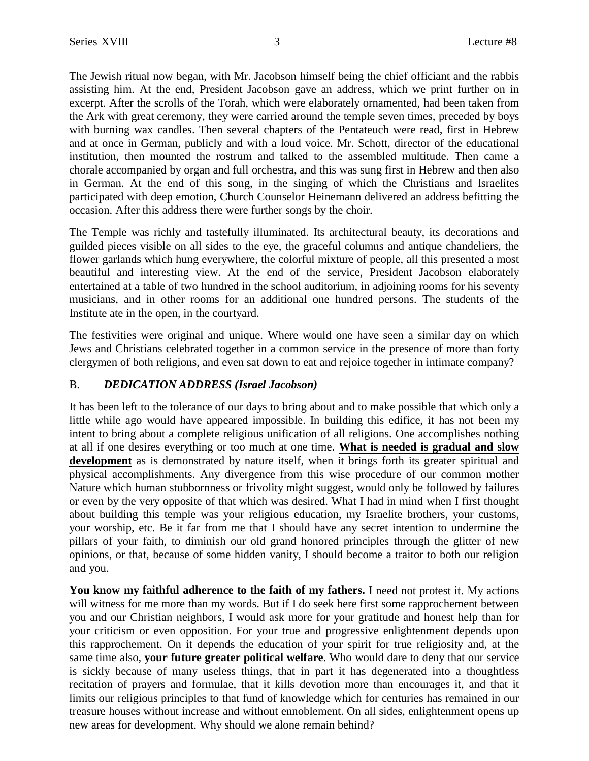The Jewish ritual now began, with Mr. Jacobson himself being the chief officiant and the rabbis assisting him. At the end, President Jacobson gave an address, which we print further on in excerpt. After the scrolls of the Torah, which were elaborately ornamented, had been taken from the Ark with great ceremony, they were carried around the temple seven times, preceded by boys with burning wax candles. Then several chapters of the Pentateuch were read, first in Hebrew and at once in German, publicly and with a loud voice. Mr. Schott, director of the educational institution, then mounted the rostrum and talked to the assembled multitude. Then came a chorale accompanied by organ and full orchestra, and this was sung first in Hebrew and then also in German. At the end of this song, in the singing of which the Christians and lsraelites participated with deep emotion, Church Counselor Heinemann delivered an address befitting the occasion. After this address there were further songs by the choir.

The Temple was richly and tastefully illuminated. Its architectural beauty, its decorations and guilded pieces visible on all sides to the eye, the graceful columns and antique chandeliers, the flower garlands which hung everywhere, the colorful mixture of people, all this presented a most beautiful and interesting view. At the end of the service, President Jacobson elaborately entertained at a table of two hundred in the school auditorium, in adjoining rooms for his seventy musicians, and in other rooms for an additional one hundred persons. The students of the Institute ate in the open, in the courtyard.

The festivities were original and unique. Where would one have seen a similar day on which Jews and Christians celebrated together in a common service in the presence of more than forty clergymen of both religions, and even sat down to eat and rejoice together in intimate company?

### B. *DEDICATION ADDRESS (Israel Jacobson)*

It has been left to the tolerance of our days to bring about and to make possible that which only a little while ago would have appeared impossible. In building this edifice, it has not been my intent to bring about a complete religious unification of all religions. One accomplishes nothing at all if one desires everything or too much at one time. **What is needed is gradual and slow development** as is demonstrated by nature itself, when it brings forth its greater spiritual and physical accomplishments. Any divergence from this wise procedure of our common mother Nature which human stubbornness or frivolity might suggest, would only be followed by failures or even by the very opposite of that which was desired. What I had in mind when I first thought about building this temple was your religious education, my Israelite brothers, your customs, your worship, etc. Be it far from me that I should have any secret intention to undermine the pillars of your faith, to diminish our old grand honored principles through the glitter of new opinions, or that, because of some hidden vanity, I should become a traitor to both our religion and you.

**You know my faithful adherence to the faith of my fathers.** I need not protest it. My actions will witness for me more than my words. But if I do seek here first some rapprochement between you and our Christian neighbors, I would ask more for your gratitude and honest help than for your criticism or even opposition. For your true and progressive enlightenment depends upon this rapprochement. On it depends the education of your spirit for true religiosity and, at the same time also, **your future greater political welfare**. Who would dare to deny that our service is sickly because of many useless things, that in part it has degenerated into a thoughtless recitation of prayers and formulae, that it kills devotion more than encourages it, and that it limits our religious principles to that fund of knowledge which for centuries has remained in our treasure houses without increase and without ennoblement. On all sides, enlightenment opens up new areas for development. Why should we alone remain behind?